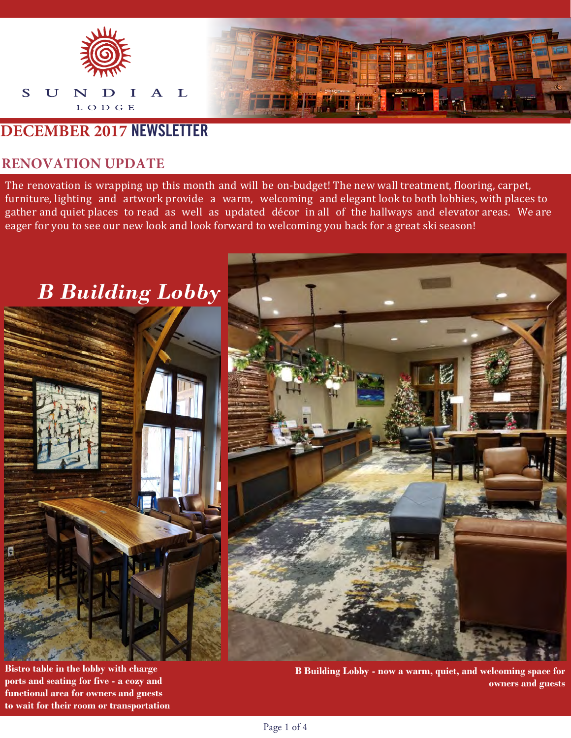

### **DECEMBER 2017 NEWSLETTER**

#### **RENOVATION UPDATE**

The renovation is wrapping up this month and will be on-budget! The new wall treatment, flooring, carpet, furniture, lighting and artwork provide a warm, welcoming and elegant look to both lobbies, with places to gather and quiet places to read as well as updated décor in all of the hallways and elevator areas. We are eager for you to see our new look and look forward to welcoming you back for a great ski season!

## *B Building Lobby*



**Bistro table in the lobby with charge ports and seating for five - a cozy and functional area for owners and guests to wait for their room or transportation**

**B Building Lobby - now a warm, quiet, and welcoming space for owners and guests**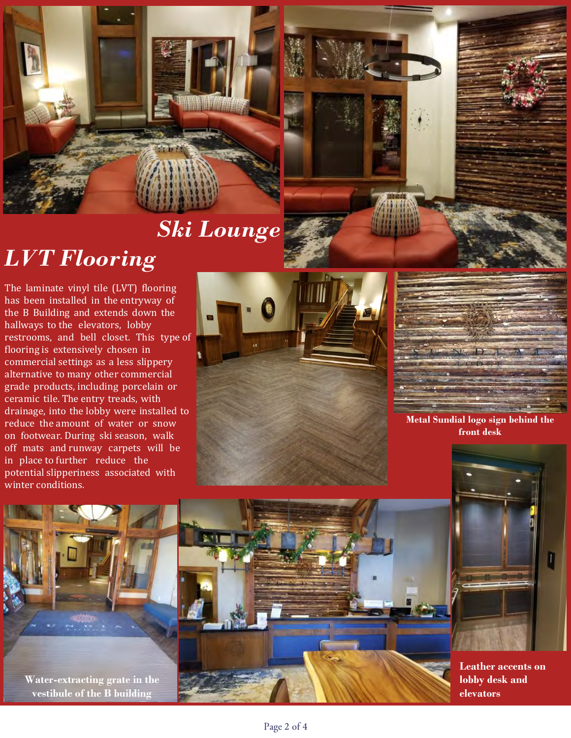

# *Ski Lounge*

# *LVT Flooring*

The laminate vinyl tile (LVT) flooring has been installed in the entryway of the B Building and extends down the hallways to the elevators, lobby restrooms, and bell closet. This type of flooring is extensively chosen in commercial settings as a less slippery alternative to many other commercial grade products, including porcelain or ceramic tile. The entry treads, with drainage, into the lobby were installed to reduce the amount of water or snow on footwear. During ski season, walk off mats and runway carpets will be in place to further reduce the potential slipperiness associated with winter conditions.





**Metal Sundial logo sign behind the front desk**



**Leather accents on lobby desk and elevators**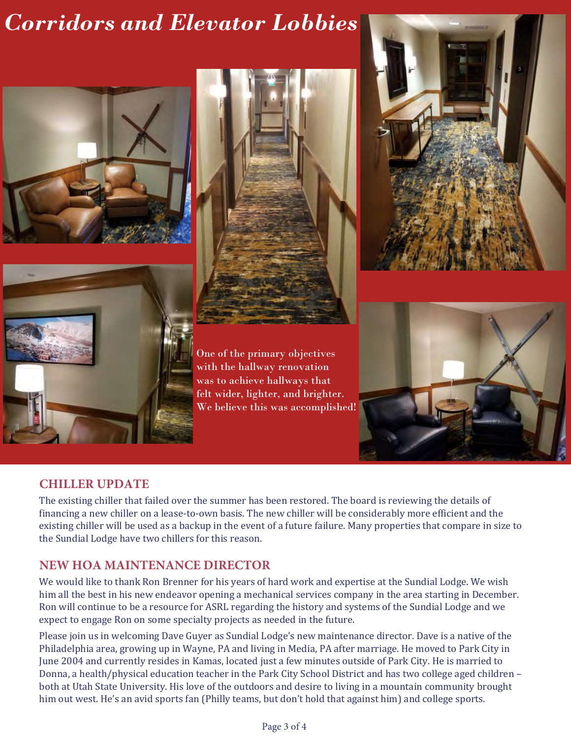# *Corridors and Elevator Lobbies*









One of the primary objectives with the hallway renovation was to achieve hallways that felt wider, lighter, and brighter. We believe this was accomplished!



#### **CHILLER UPDATE**

The existing chiller that failed over the summer has been restored. The board is reviewing the details of financing a new chiller on a lease-to-own basis. The new chiller will be considerably more efficient and the existing chiller will be used as a backup in the event of a future failure. Many properties that compare in size to the Sundial Lodge have two chillers for this reason.

#### **NEW HOA MAINTENANCE DIRECTOR**

We would like to thank Ron Brenner for his years of hard work and expertise at the Sundial Lodge. We wish him all the best in his new endeavor opening a mechanical services company in the area starting in December. Ron will continue to be a resource for ASRL regarding the history and systems of the Sundial Lodge and we expect to engage Ron on some specialty projects as needed in the future.

Please join us in welcoming Dave Guyer as Sundial Lodge's new maintenance director. Dave is a native of the Philadelphia area, growing up in Wayne, PA and living in Media, PA after marriage. He moved to Park City in June 2004 and currently resides in Kamas, located just a few minutes outside of Park City. He is married to Donna, a health/physical education teacher in the Park City School District and has two college aged children – both at Utah State University. His love of the outdoors and desire to living in a mountain community brought him out west. He's an avid sports fan (Philly teams, but don't hold that against him) and college sports.